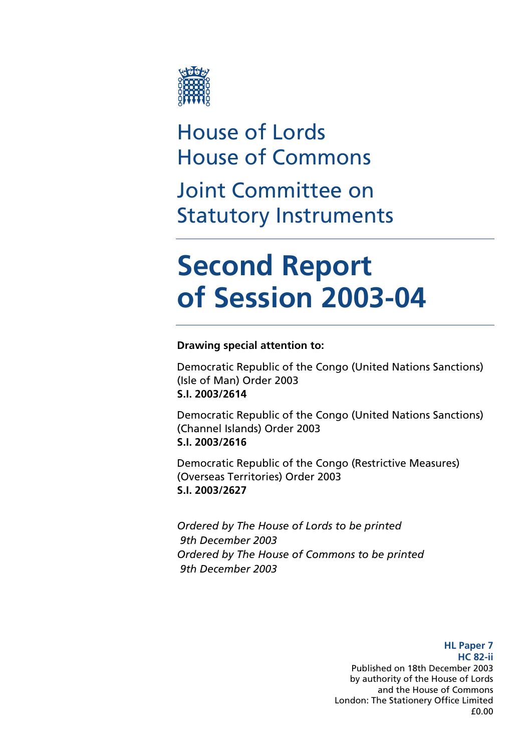

## House of Lords House of Commons

Joint Committee on Statutory Instruments

# **Second Report of Session 2003-04**

### **Drawing special attention to:**

Democratic Republic of the Congo (United Nations Sanctions) (Isle of Man) Order 2003 **S.I. 2003/2614** 

Democratic Republic of the Congo (United Nations Sanctions) (Channel Islands) Order 2003 **S.I. 2003/2616** 

Democratic Republic of the Congo (Restrictive Measures) (Overseas Territories) Order 2003 **S.I. 2003/2627** 

*Ordered by The House of Lords to be printed 9th December 2003 Ordered by The House of Commons to be printed 9th December 2003* 

> **HL Paper 7 HC 82-ii**  Published on 18th December 2003 by authority of the House of Lords and the House of Commons London: The Stationery Office Limited £0.00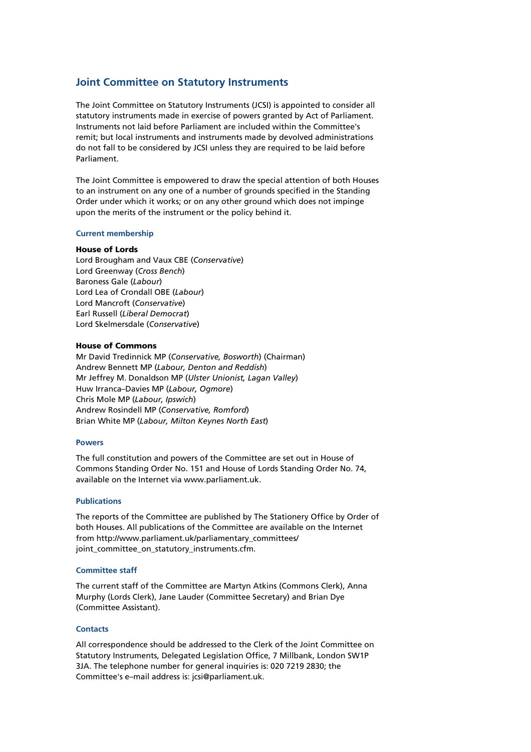### **Joint Committee on Statutory Instruments**

The Joint Committee on Statutory Instruments (JCSI) is appointed to consider all statutory instruments made in exercise of powers granted by Act of Parliament. Instruments not laid before Parliament are included within the Committee's remit; but local instruments and instruments made by devolved administrations do not fall to be considered by JCSI unless they are required to be laid before Parliament.

The Joint Committee is empowered to draw the special attention of both Houses to an instrument on any one of a number of grounds specified in the Standing Order under which it works; or on any other ground which does not impinge upon the merits of the instrument or the policy behind it.

#### **Current membership**

#### House of Lords

Lord Brougham and Vaux CBE (*Conservative*) Lord Greenway (*Cross Bench*) Baroness Gale (*Labour*) Lord Lea of Crondall OBE (*Labour*) Lord Mancroft (*Conservative*) Earl Russell (*Liberal Democrat*) Lord Skelmersdale (*Conservative*)

#### House of Commons

Mr David Tredinnick MP (*Conservative, Bosworth*) (Chairman) Andrew Bennett MP (*Labour, Denton and Reddish*) Mr Jeffrey M. Donaldson MP (*Ulster Unionist, Lagan Valley*) Huw Irranca–Davies MP (*Labour, Ogmore*) Chris Mole MP (*Labour, Ipswich*) Andrew Rosindell MP (*Conservative, Romford*) Brian White MP (*Labour, Milton Keynes North East*)

#### **Powers**

The full constitution and powers of the Committee are set out in House of Commons Standing Order No. 151 and House of Lords Standing Order No. 74, available on the Internet via www.parliament.uk.

#### **Publications**

The reports of the Committee are published by The Stationery Office by Order of both Houses. All publications of the Committee are available on the Internet from http://www.parliament.uk/parliamentary\_committees/ joint\_committee\_on\_statutory\_instruments.cfm.

#### **Committee staff**

The current staff of the Committee are Martyn Atkins (Commons Clerk), Anna Murphy (Lords Clerk), Jane Lauder (Committee Secretary) and Brian Dye (Committee Assistant).

### **Contacts**

All correspondence should be addressed to the Clerk of the Joint Committee on Statutory Instruments, Delegated Legislation Office, 7 Millbank, London SW1P 3JA. The telephone number for general inquiries is: 020 7219 2830; the Committee's e–mail address is: jcsi@parliament.uk.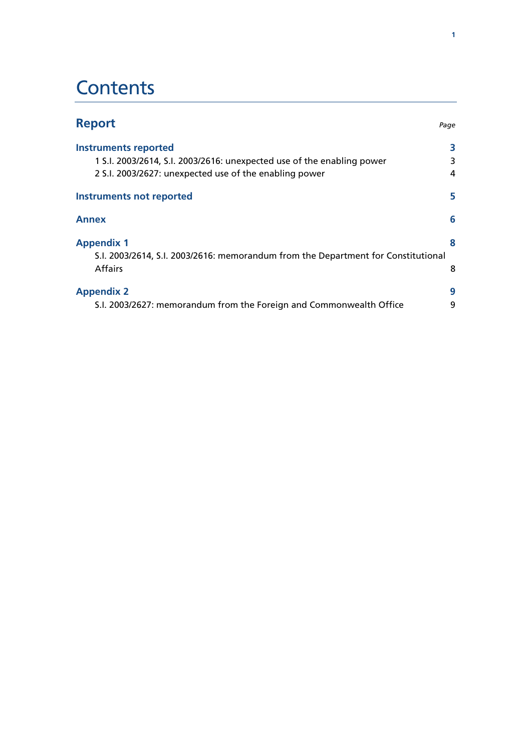## **Contents**

| <b>Report</b>                                                                     | Page |
|-----------------------------------------------------------------------------------|------|
| <b>Instruments reported</b>                                                       |      |
| 1 S.I. 2003/2614, S.I. 2003/2616: unexpected use of the enabling power            | 3    |
| 2 S.I. 2003/2627: unexpected use of the enabling power                            | 4    |
| Instruments not reported                                                          | 5    |
| <b>Annex</b>                                                                      | 6    |
| <b>Appendix 1</b>                                                                 |      |
| S.I. 2003/2614, S.I. 2003/2616: memorandum from the Department for Constitutional |      |
| <b>Affairs</b>                                                                    | 8    |
| <b>Appendix 2</b>                                                                 | 9    |
| S.I. 2003/2627: memorandum from the Foreign and Commonwealth Office               | 9    |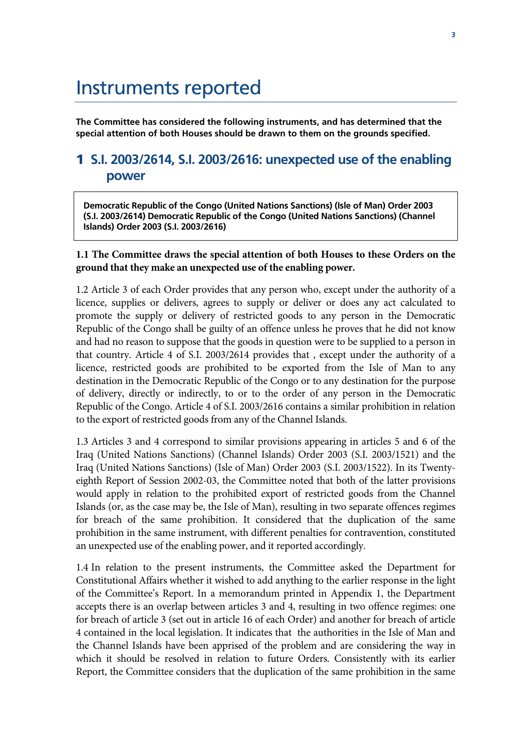## Instruments reported

**The Committee has considered the following instruments, and has determined that the special attention of both Houses should be drawn to them on the grounds specified.** 

### 1 **S.I. 2003/2614, S.I. 2003/2616: unexpected use of the enabling power**

**Democratic Republic of the Congo (United Nations Sanctions) (Isle of Man) Order 2003 (S.I. 2003/2614) Democratic Republic of the Congo (United Nations Sanctions) (Channel Islands) Order 2003 (S.I. 2003/2616)** 

### **1.1 The Committee draws the special attention of both Houses to these Orders on the ground that they make an unexpected use of the enabling power.**

1.2 Article 3 of each Order provides that any person who, except under the authority of a licence, supplies or delivers, agrees to supply or deliver or does any act calculated to promote the supply or delivery of restricted goods to any person in the Democratic Republic of the Congo shall be guilty of an offence unless he proves that he did not know and had no reason to suppose that the goods in question were to be supplied to a person in that country. Article 4 of S.I. 2003/2614 provides that , except under the authority of a licence, restricted goods are prohibited to be exported from the Isle of Man to any destination in the Democratic Republic of the Congo or to any destination for the purpose of delivery, directly or indirectly, to or to the order of any person in the Democratic Republic of the Congo. Article 4 of S.I. 2003/2616 contains a similar prohibition in relation to the export of restricted goods from any of the Channel Islands.

1.3 Articles 3 and 4 correspond to similar provisions appearing in articles 5 and 6 of the Iraq (United Nations Sanctions) (Channel Islands) Order 2003 (S.I. 2003/1521) and the Iraq (United Nations Sanctions) (Isle of Man) Order 2003 (S.I. 2003/1522). In its Twentyeighth Report of Session 2002-03, the Committee noted that both of the latter provisions would apply in relation to the prohibited export of restricted goods from the Channel Islands (or, as the case may be, the Isle of Man), resulting in two separate offences regimes for breach of the same prohibition. It considered that the duplication of the same prohibition in the same instrument, with different penalties for contravention, constituted an unexpected use of the enabling power, and it reported accordingly.

1.4 In relation to the present instruments, the Committee asked the Department for Constitutional Affairs whether it wished to add anything to the earlier response in the light of the Committee's Report. In a memorandum printed in Appendix 1, the Department accepts there is an overlap between articles 3 and 4, resulting in two offence regimes: one for breach of article 3 (set out in article 16 of each Order) and another for breach of article 4 contained in the local legislation. It indicates that the authorities in the Isle of Man and the Channel Islands have been apprised of the problem and are considering the way in which it should be resolved in relation to future Orders. Consistently with its earlier Report, the Committee considers that the duplication of the same prohibition in the same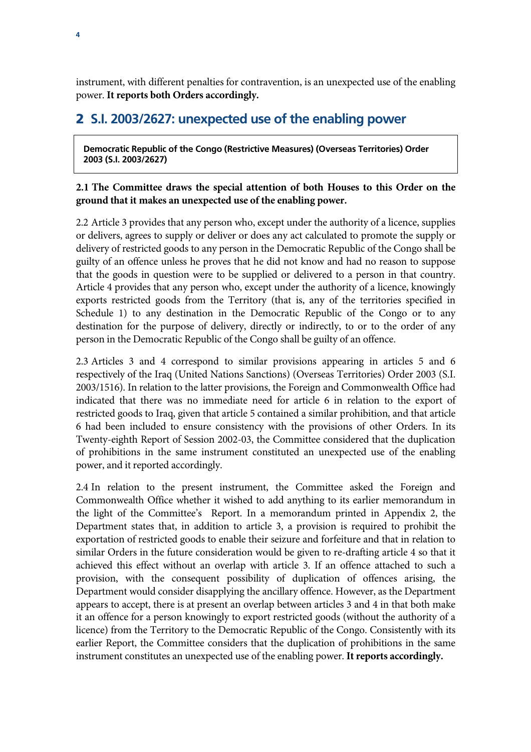instrument, with different penalties for contravention, is an unexpected use of the enabling power. **It reports both Orders accordingly.**

### 2 **S.I. 2003/2627: unexpected use of the enabling power**

**Democratic Republic of the Congo (Restrictive Measures) (Overseas Territories) Order 2003 (S.I. 2003/2627)** 

### **2.1 The Committee draws the special attention of both Houses to this Order on the ground that it makes an unexpected use of the enabling power.**

2.2 Article 3 provides that any person who, except under the authority of a licence, supplies or delivers, agrees to supply or deliver or does any act calculated to promote the supply or delivery of restricted goods to any person in the Democratic Republic of the Congo shall be guilty of an offence unless he proves that he did not know and had no reason to suppose that the goods in question were to be supplied or delivered to a person in that country. Article 4 provides that any person who, except under the authority of a licence, knowingly exports restricted goods from the Territory (that is, any of the territories specified in Schedule 1) to any destination in the Democratic Republic of the Congo or to any destination for the purpose of delivery, directly or indirectly, to or to the order of any person in the Democratic Republic of the Congo shall be guilty of an offence.

2.3 Articles 3 and 4 correspond to similar provisions appearing in articles 5 and 6 respectively of the Iraq (United Nations Sanctions) (Overseas Territories) Order 2003 (S.I. 2003/1516). In relation to the latter provisions, the Foreign and Commonwealth Office had indicated that there was no immediate need for article 6 in relation to the export of restricted goods to Iraq, given that article 5 contained a similar prohibition, and that article 6 had been included to ensure consistency with the provisions of other Orders. In its Twenty-eighth Report of Session 2002-03, the Committee considered that the duplication of prohibitions in the same instrument constituted an unexpected use of the enabling power, and it reported accordingly.

2.4 In relation to the present instrument, the Committee asked the Foreign and Commonwealth Office whether it wished to add anything to its earlier memorandum in the light of the Committee's Report. In a memorandum printed in Appendix 2, the Department states that, in addition to article 3, a provision is required to prohibit the exportation of restricted goods to enable their seizure and forfeiture and that in relation to similar Orders in the future consideration would be given to re-drafting article 4 so that it achieved this effect without an overlap with article 3. If an offence attached to such a provision, with the consequent possibility of duplication of offences arising, the Department would consider disapplying the ancillary offence. However, as the Department appears to accept, there is at present an overlap between articles 3 and 4 in that both make it an offence for a person knowingly to export restricted goods (without the authority of a licence) from the Territory to the Democratic Republic of the Congo. Consistently with its earlier Report, the Committee considers that the duplication of prohibitions in the same instrument constitutes an unexpected use of the enabling power. **It reports accordingly.**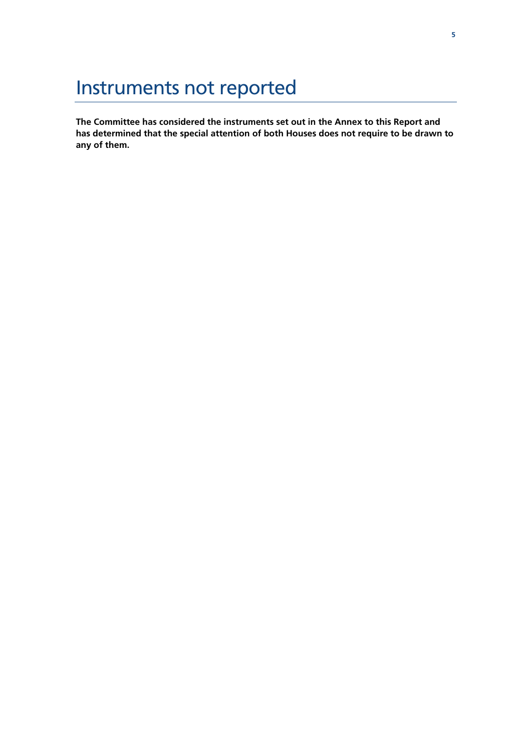## Instruments not reported

**The Committee has considered the instruments set out in the Annex to this Report and has determined that the special attention of both Houses does not require to be drawn to any of them.**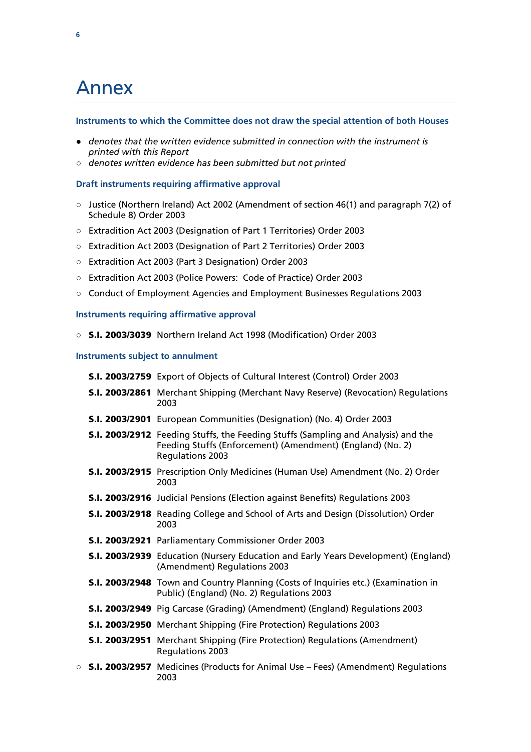## Annex

### **Instruments to which the Committee does not draw the special attention of both Houses**

- *● denotes that the written evidence submitted in connection with the instrument is printed with this Report*
- *○ denotes written evidence has been submitted but not printed*

### **Draft instruments requiring affirmative approval**

- *○* Justice (Northern Ireland) Act 2002 (Amendment of section 46(1) and paragraph 7(2) of Schedule 8) Order 2003
- *○* Extradition Act 2003 (Designation of Part 1 Territories) Order 2003
- *○* Extradition Act 2003 (Designation of Part 2 Territories) Order 2003
- *○* Extradition Act 2003 (Part 3 Designation) Order 2003
- *○* Extradition Act 2003 (Police Powers: Code of Practice) Order 2003
- *○* Conduct of Employment Agencies and Employment Businesses Regulations 2003

### **Instruments requiring affirmative approval**

*○* S.I. 2003/3039 Northern Ireland Act 1998 (Modification) Order 2003

### **Instruments subject to annulment**

|  | <b>S.I. 2003/2759</b> Export of Objects of Cultural Interest (Control) Order 2003                                                                                                 |
|--|-----------------------------------------------------------------------------------------------------------------------------------------------------------------------------------|
|  | <b>S.I. 2003/2861</b> Merchant Shipping (Merchant Navy Reserve) (Revocation) Regulations<br>2003                                                                                  |
|  | S.I. 2003/2901 European Communities (Designation) (No. 4) Order 2003                                                                                                              |
|  | <b>S.I. 2003/2912</b> Feeding Stuffs, the Feeding Stuffs (Sampling and Analysis) and the<br>Feeding Stuffs (Enforcement) (Amendment) (England) (No. 2)<br><b>Regulations 2003</b> |
|  | <b>S.I. 2003/2915</b> Prescription Only Medicines (Human Use) Amendment (No. 2) Order<br>2003                                                                                     |
|  | <b>S.I. 2003/2916</b> Judicial Pensions (Election against Benefits) Regulations 2003                                                                                              |
|  | <b>S.I. 2003/2918</b> Reading College and School of Arts and Design (Dissolution) Order<br>2003                                                                                   |
|  | S.I. 2003/2921 Parliamentary Commissioner Order 2003                                                                                                                              |
|  | <b>S.I. 2003/2939</b> Education (Nursery Education and Early Years Development) (England)<br>(Amendment) Regulations 2003                                                         |
|  | S.I. 2003/2948 Town and Country Planning (Costs of Inquiries etc.) (Examination in<br>Public) (England) (No. 2) Regulations 2003                                                  |
|  | <b>S.I. 2003/2949</b> Pig Carcase (Grading) (Amendment) (England) Regulations 2003                                                                                                |
|  | <b>S.I. 2003/2950</b> Merchant Shipping (Fire Protection) Regulations 2003                                                                                                        |
|  | <b>S.I. 2003/2951</b> Merchant Shipping (Fire Protection) Regulations (Amendment)<br><b>Regulations 2003</b>                                                                      |
|  | $\circ$ <b>S.I. 2003/2957</b> Medicines (Products for Animal Use – Fees) (Amendment) Regulations<br>2003                                                                          |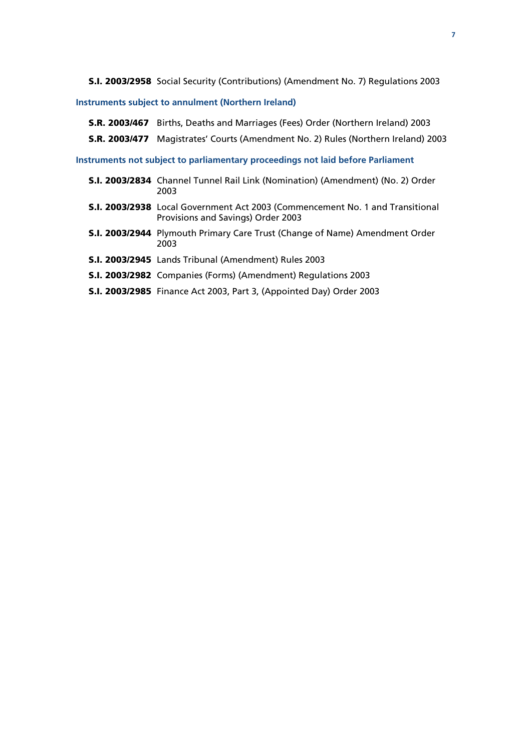S.I. 2003/2958 Social Security (Contributions) (Amendment No. 7) Regulations 2003

### **Instruments subject to annulment (Northern Ireland)**

- S.R. 2003/467 Births, Deaths and Marriages (Fees) Order (Northern Ireland) 2003
- S.R. 2003/477 Magistrates' Courts (Amendment No. 2) Rules (Northern Ireland) 2003

**Instruments not subject to parliamentary proceedings not laid before Parliament** 

- S.I. 2003/2834 Channel Tunnel Rail Link (Nomination) (Amendment) (No. 2) Order 2003
- S.I. 2003/2938 Local Government Act 2003 (Commencement No. 1 and Transitional Provisions and Savings) Order 2003
- S.I. 2003/2944 Plymouth Primary Care Trust (Change of Name) Amendment Order 2003
- S.I. 2003/2945 Lands Tribunal (Amendment) Rules 2003
- S.I. 2003/2982 Companies (Forms) (Amendment) Regulations 2003
- S.I. 2003/2985 Finance Act 2003, Part 3, (Appointed Day) Order 2003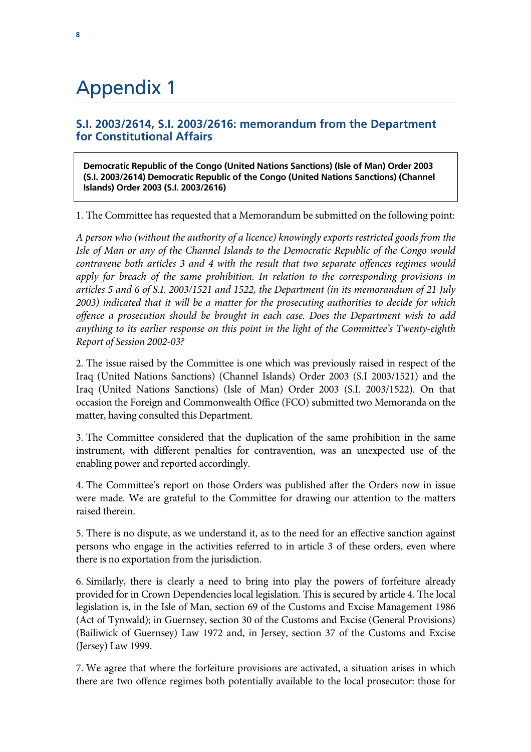## Appendix 1

### **S.I. 2003/2614, S.I. 2003/2616: memorandum from the Department for Constitutional Affairs**

**Democratic Republic of the Congo (United Nations Sanctions) (Isle of Man) Order 2003 (S.I. 2003/2614) Democratic Republic of the Congo (United Nations Sanctions) (Channel Islands) Order 2003 (S.I. 2003/2616)** 

1. The Committee has requested that a Memorandum be submitted on the following point:

*A person who (without the authority of a licence) knowingly exports restricted goods from the Isle of Man or any of the Channel Islands to the Democratic Republic of the Congo would contravene both articles 3 and 4 with the result that two separate offences regimes would apply for breach of the same prohibition. In relation to the corresponding provisions in articles 5 and 6 of S.I. 2003/1521 and 1522, the Department (in its memorandum of 21 July 2003) indicated that it will be a matter for the prosecuting authorities to decide for which offence a prosecution should be brought in each case. Does the Department wish to add anything to its earlier response on this point in the light of the Committee's Twenty-eighth Report of Session 2002-03?* 

2. The issue raised by the Committee is one which was previously raised in respect of the Iraq (United Nations Sanctions) (Channel Islands) Order 2003 (S.I 2003/1521) and the Iraq (United Nations Sanctions) (Isle of Man) Order 2003 (S.I. 2003/1522). On that occasion the Foreign and Commonwealth Office (FCO) submitted two Memoranda on the matter, having consulted this Department.

3. The Committee considered that the duplication of the same prohibition in the same instrument, with different penalties for contravention, was an unexpected use of the enabling power and reported accordingly.

4. The Committee's report on those Orders was published after the Orders now in issue were made. We are grateful to the Committee for drawing our attention to the matters raised therein.

5. There is no dispute, as we understand it, as to the need for an effective sanction against persons who engage in the activities referred to in article 3 of these orders, even where there is no exportation from the jurisdiction.

6. Similarly, there is clearly a need to bring into play the powers of forfeiture already provided for in Crown Dependencies local legislation. This is secured by article 4. The local legislation is, in the Isle of Man, section 69 of the Customs and Excise Management 1986 (Act of Tynwald); in Guernsey, section 30 of the Customs and Excise (General Provisions) (Bailiwick of Guernsey) Law 1972 and, in Jersey, section 37 of the Customs and Excise (Jersey) Law 1999.

7. We agree that where the forfeiture provisions are activated, a situation arises in which there are two offence regimes both potentially available to the local prosecutor: those for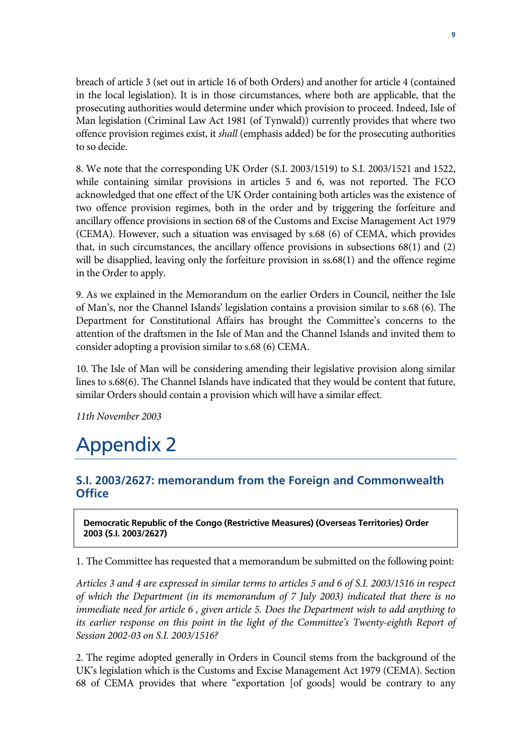breach of article 3 (set out in article 16 of both Orders) and another for article 4 (contained in the local legislation). It is in those circumstances, where both are applicable, that the prosecuting authorities would determine under which provision to proceed. Indeed, Isle of Man legislation (Criminal Law Act 1981 (of Tynwald)) currently provides that where two offence provision regimes exist, it *shall* (emphasis added) be for the prosecuting authorities to so decide.

8. We note that the corresponding UK Order (S.I. 2003/1519) to S.I. 2003/1521 and 1522, while containing similar provisions in articles 5 and 6, was not reported. The FCO acknowledged that one effect of the UK Order containing both articles was the existence of two offence provision regimes, both in the order and by triggering the forfeiture and ancillary offence provisions in section 68 of the Customs and Excise Management Act 1979 (CEMA). However, such a situation was envisaged by s.68 (6) of CEMA, which provides that, in such circumstances, the ancillary offence provisions in subsections 68(1) and (2) will be disapplied, leaving only the forfeiture provision in ss.68(1) and the offence regime in the Order to apply.

9. As we explained in the Memorandum on the earlier Orders in Council, neither the Isle of Man's, nor the Channel Islands' legislation contains a provision similar to s.68 (6). The Department for Constitutional Affairs has brought the Committee's concerns to the attention of the draftsmen in the Isle of Man and the Channel Islands and invited them to consider adopting a provision similar to s.68 (6) CEMA.

10. The Isle of Man will be considering amending their legislative provision along similar lines to s.68(6). The Channel Islands have indicated that they would be content that future, similar Orders should contain a provision which will have a similar effect.

*11th November 2003*

## Appendix 2

### **S.I. 2003/2627: memorandum from the Foreign and Commonwealth Office**

**Democratic Republic of the Congo (Restrictive Measures) (Overseas Territories) Order 2003 (S.I. 2003/2627)** 

1. The Committee has requested that a memorandum be submitted on the following point:

*Articles 3 and 4 are expressed in similar terms to articles 5 and 6 of S.I. 2003/1516 in respect of which the Department (in its memorandum of 7 July 2003) indicated that there is no immediate need for article 6, given article 5. Does the Department wish to add anything to* its earlier response on this point in the light of the Committee's Twenty-eighth Report of *Session 2002-03 on S.I. 2003/1516?* 

2. The regime adopted generally in Orders in Council stems from the background of the UK's legislation which is the Customs and Excise Management Act 1979 (CEMA). Section 68 of CEMA provides that where "exportation [of goods] would be contrary to any